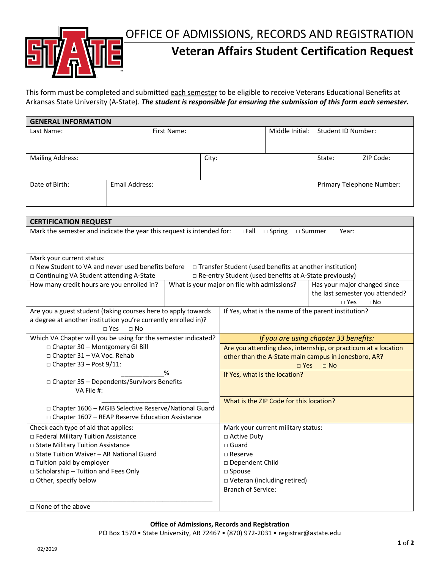OFFICE OF ADMISSIONS, RECORDS AND REGISTRATION



## **Veteran Affairs Student Certification Request**

This form must be completed and submitted each semester to be eligible to receive Veterans Educational Benefits at Arkansas State University (A-State). *The student is responsible for ensuring the submission of this form each semester.*

| <b>GENERAL INFORMATION</b> |                |             |       |                 |                           |           |  |  |  |
|----------------------------|----------------|-------------|-------|-----------------|---------------------------|-----------|--|--|--|
| Last Name:                 |                | First Name: |       | Middle Initial: | Student ID Number:        |           |  |  |  |
|                            |                |             |       |                 |                           |           |  |  |  |
|                            |                |             |       |                 |                           |           |  |  |  |
| <b>Mailing Address:</b>    |                |             | City: |                 | State:                    | ZIP Code: |  |  |  |
|                            |                |             |       |                 |                           |           |  |  |  |
|                            |                |             |       |                 |                           |           |  |  |  |
| Date of Birth:             | Email Address: |             |       |                 | Primary Telephone Number: |           |  |  |  |
|                            |                |             |       |                 |                           |           |  |  |  |
|                            |                |             |       |                 |                           |           |  |  |  |

| <b>CERTIFICATION REQUEST</b>                                                                                                    |  |                                                                 |                                 |  |  |  |  |  |
|---------------------------------------------------------------------------------------------------------------------------------|--|-----------------------------------------------------------------|---------------------------------|--|--|--|--|--|
| Mark the semester and indicate the year this request is intended for: $\Box$ Fall<br>$\Box$ Spring<br>$\square$ Summer<br>Year: |  |                                                                 |                                 |  |  |  |  |  |
|                                                                                                                                 |  |                                                                 |                                 |  |  |  |  |  |
| Mark your current status:                                                                                                       |  |                                                                 |                                 |  |  |  |  |  |
| □ New Student to VA and never used benefits before<br>$\Box$ Transfer Student (used benefits at another institution)            |  |                                                                 |                                 |  |  |  |  |  |
| □ Continuing VA Student attending A-State                                                                                       |  | □ Re-entry Student (used benefits at A-State previously)        |                                 |  |  |  |  |  |
| How many credit hours are you enrolled in?                                                                                      |  | What is your major on file with admissions?                     | Has your major changed since    |  |  |  |  |  |
|                                                                                                                                 |  |                                                                 | the last semester you attended? |  |  |  |  |  |
|                                                                                                                                 |  |                                                                 | $\Box$ No<br>$\square$ Yes      |  |  |  |  |  |
| Are you a guest student (taking courses here to apply towards                                                                   |  | If Yes, what is the name of the parent institution?             |                                 |  |  |  |  |  |
| a degree at another institution you're currently enrolled in)?                                                                  |  |                                                                 |                                 |  |  |  |  |  |
| $\square$ Yes<br>$\Box$ No                                                                                                      |  |                                                                 |                                 |  |  |  |  |  |
| Which VA Chapter will you be using for the semester indicated?                                                                  |  | If you are using chapter 33 benefits:                           |                                 |  |  |  |  |  |
| □ Chapter 30 - Montgomery GI Bill                                                                                               |  | Are you attending class, internship, or practicum at a location |                                 |  |  |  |  |  |
| □ Chapter 31 - VA Voc. Rehab                                                                                                    |  | other than the A-State main campus in Jonesboro, AR?            |                                 |  |  |  |  |  |
| $\Box$ Chapter 33 - Post 9/11:                                                                                                  |  | $\Box$ Yes<br>$\Box$ No                                         |                                 |  |  |  |  |  |
| %                                                                                                                               |  | If Yes, what is the location?                                   |                                 |  |  |  |  |  |
| □ Chapter 35 - Dependents/Survivors Benefits                                                                                    |  |                                                                 |                                 |  |  |  |  |  |
| VA File #:                                                                                                                      |  |                                                                 |                                 |  |  |  |  |  |
|                                                                                                                                 |  | What is the ZIP Code for this location?                         |                                 |  |  |  |  |  |
| □ Chapter 1606 - MGIB Selective Reserve/National Guard                                                                          |  |                                                                 |                                 |  |  |  |  |  |
| □ Chapter 1607 - REAP Reserve Education Assistance                                                                              |  |                                                                 |                                 |  |  |  |  |  |
| Check each type of aid that applies:                                                                                            |  | Mark your current military status:                              |                                 |  |  |  |  |  |
| □ Federal Military Tuition Assistance                                                                                           |  | □ Active Duty                                                   |                                 |  |  |  |  |  |
| □ State Military Tuition Assistance                                                                                             |  | $\sqcap$ Guard                                                  |                                 |  |  |  |  |  |
| □ State Tuition Waiver - AR National Guard                                                                                      |  | $\Box$ Reserve                                                  |                                 |  |  |  |  |  |
| □ Tuition paid by employer                                                                                                      |  | □ Dependent Child                                               |                                 |  |  |  |  |  |
| $\Box$ Scholarship - Tuition and Fees Only                                                                                      |  | $\square$ Spouse                                                |                                 |  |  |  |  |  |
| □ Other, specify below                                                                                                          |  | □ Veteran (including retired)                                   |                                 |  |  |  |  |  |
|                                                                                                                                 |  | <b>Branch of Service:</b>                                       |                                 |  |  |  |  |  |
|                                                                                                                                 |  |                                                                 |                                 |  |  |  |  |  |
| $\Box$ None of the above                                                                                                        |  |                                                                 |                                 |  |  |  |  |  |